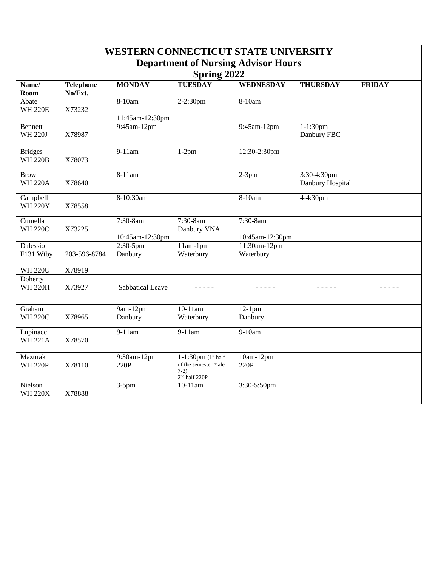| <b>WESTERN CONNECTICUT STATE UNIVERSITY</b>               |                             |                             |                                                                                      |                             |                                 |               |  |  |  |  |  |
|-----------------------------------------------------------|-----------------------------|-----------------------------|--------------------------------------------------------------------------------------|-----------------------------|---------------------------------|---------------|--|--|--|--|--|
| <b>Department of Nursing Advisor Hours</b><br>Spring 2022 |                             |                             |                                                                                      |                             |                                 |               |  |  |  |  |  |
| Name/<br>Room                                             | <b>Telephone</b><br>No/Ext. | <b>MONDAY</b>               | <b>TUESDAY</b>                                                                       | <b>WEDNESDAY</b>            | <b>THURSDAY</b>                 | <b>FRIDAY</b> |  |  |  |  |  |
| Abate<br><b>WH 220E</b>                                   | X73232                      | 8-10am<br>11:45am-12:30pm   | 2-2:30pm                                                                             | 8-10am                      |                                 |               |  |  |  |  |  |
| <b>Bennett</b><br><b>WH 220J</b>                          | X78987                      | 9:45am-12pm                 |                                                                                      | 9:45am-12pm                 | 1-1:30pm<br>Danbury FBC         |               |  |  |  |  |  |
| <b>Bridges</b><br><b>WH 220B</b>                          | X78073                      | $9-11$ am                   | $1-2pm$                                                                              | 12:30-2:30pm                |                                 |               |  |  |  |  |  |
| <b>Brown</b><br><b>WH 220A</b>                            | X78640                      | $8-11$ am                   |                                                                                      | $2-3pm$                     | 3:30-4:30pm<br>Danbury Hospital |               |  |  |  |  |  |
| Campbell<br><b>WH 220Y</b>                                | X78558                      | 8-10:30am                   |                                                                                      | 8-10am                      | 4-4:30pm                        |               |  |  |  |  |  |
| Cumella<br><b>WH 220O</b>                                 | X73225                      | 7:30-8am<br>10:45am-12:30pm | 7:30-8am<br>Danbury VNA                                                              | 7:30-8am<br>10:45am-12:30pm |                                 |               |  |  |  |  |  |
| Dalessio<br>F131 Wtby                                     | 203-596-8784                | $2:30-5$ pm<br>Danbury      | $11am-1pm$<br>Waterbury                                                              | $11:30am-12pm$<br>Waterbury |                                 |               |  |  |  |  |  |
| <b>WH 220U</b>                                            | X78919                      |                             |                                                                                      |                             |                                 |               |  |  |  |  |  |
| Doherty<br><b>WH 220H</b>                                 | X73927                      | Sabbatical Leave            |                                                                                      | .                           | .                               | .             |  |  |  |  |  |
| Graham<br><b>WH 220C</b>                                  | X78965                      | 9am-12pm<br>Danbury         | $10-11$ am<br>Waterbury                                                              | $12-1$ pm<br>Danbury        |                                 |               |  |  |  |  |  |
| Lupinacci<br><b>WH 221A</b>                               | X78570                      | 9-11am                      | 9-11am                                                                               | 9-10am                      |                                 |               |  |  |  |  |  |
| Mazurak<br><b>WH 220P</b>                                 | X78110                      | 9:30am-12pm<br>220P         | 1-1:30pm $(1st half)$<br>of the semester Yale<br>$7-2)$<br>2 <sup>nd</sup> half 220P | 10am-12pm<br>220P           |                                 |               |  |  |  |  |  |
| Nielson<br><b>WH 220X</b>                                 | X78888                      | $3-5$ pm                    | $10-11$ am                                                                           | 3:30-5:50pm                 |                                 |               |  |  |  |  |  |